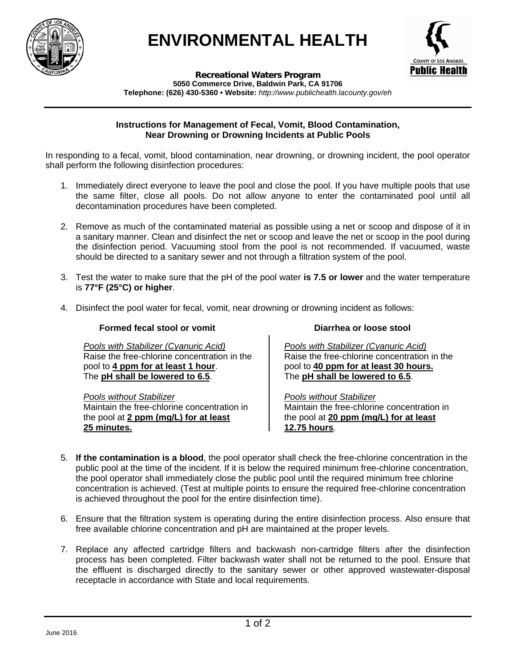



**Recreational Waters Program 5050 Commerce Drive, Baldwin Park, CA 91706 Telephone: (626) 430-5360 • Website:** *http://www.publichealth.lacounty.gov/eh*

## **Instructions for Management of Fecal, Vomit, Blood Contamination, Near Drowning or Drowning Incidents at Public Pools**

In responding to a fecal, vomit, blood contamination, near drowning, or drowning incident, the pool operator shall perform the following disinfection procedures:

- 1. Immediately direct everyone to leave the pool and close the pool. If you have multiple pools that use the same filter, close all pools. Do not allow anyone to enter the contaminated pool until all decontamination procedures have been completed.
- 2. Remove as much of the contaminated material as possible using a net or scoop and dispose of it in a sanitary manner. Clean and disinfect the net or scoop and leave the net or scoop in the pool during the disinfection period. Vacuuming stool from the pool is not recommended. If vacuumed, waste should be directed to a sanitary sewer and not through a filtration system of the pool.
- 3. Test the water to make sure that the pH of the pool water **is 7.5 or lower** and the water temperature is **77°F (25°C) or higher**.
- 4. Disinfect the pool water for fecal, vomit, near drowning or drowning incident as follows:

## **Formed fecal stool or vomit**

*Pools with Stabilizer (Cyanuric Acid)*  Raise the free-chlorine concentration in the pool to **4 ppm for at least 1 hour**. The **pH shall be lowered to 6.5**.

*Pools without Stabilizer* Maintain the free-chlorine concentration in the pool at **2 ppm (mg/L) for at least 25 minutes.**

## **Diarrhea or loose stool**

*Pools with Stabilizer (Cyanuric Acid)*  Raise the free-chlorine concentration in the pool to **40 ppm for at least 30 hours.** The **pH shall be lowered to 6.5**.

*Pools without Stabilizer* Maintain the free-chlorine concentration in the pool at **20 ppm (mg/L) for at least 12.75 hours**.

- 5. **If the contamination is a blood**, the pool operator shall check the free-chlorine concentration in the public pool at the time of the incident. If it is below the required minimum free-chlorine concentration, the pool operator shall immediately close the public pool until the required minimum free chlorine concentration is achieved. (Test at multiple points to ensure the required free-chlorine concentration is achieved throughout the pool for the entire disinfection time).
- 6. Ensure that the filtration system is operating during the entire disinfection process. Also ensure that free available chlorine concentration and pH are maintained at the proper levels.
- 7. Replace any affected cartridge filters and backwash non-cartridge filters after the disinfection process has been completed. Filter backwash water shall not be returned to the pool. Ensure that the effluent is discharged directly to the sanitary sewer or other approved wastewater-disposal receptacle in accordance with State and local requirements.